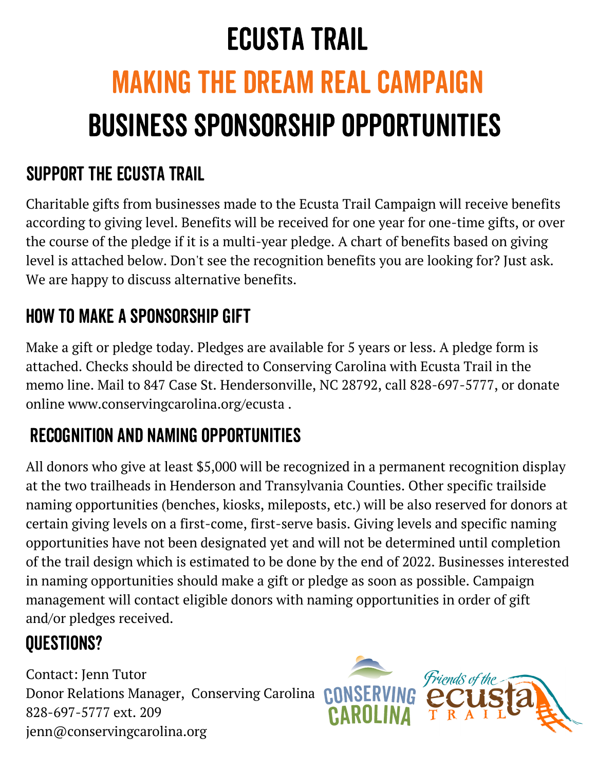## Ecusta Trail

# Making the dream real campaign Business Sponsorship Opportunities

#### Support the ecusta Trail

Charitable gifts from businesses made to the Ecusta Trail Campaign will receive benefits according to giving level. Benefits will be received for one year for one-time gifts, or over the course of the pledge if it is a multi-year pledge. A chart of benefits based on giving level is attached below. Don't see the recognition benefits you are looking for? Just ask. We are happy to discuss alternative benefits.

#### How to make a sponsorship gift

Make a gift or pledge today. Pledges are available for 5 years or less. A pledge form is attached. Checks should be directed to Conserving Carolina with Ecusta Trail in the memo line. Mail to 847 Case St. Hendersonville, NC 28792, call 828-697-5777, or donate online www.conservingcarolina.org/ecusta .

#### Recognition and naming opportunities

All donors who give at least \$5,000 will be recognized in a permanent recognition display at the two trailheads in Henderson and Transylvania Counties. Other specific trailside naming opportunities (benches, kiosks, mileposts, etc.) will be also reserved for donors at certain giving levels on a first-come, first-serve basis. Giving levels and specific naming opportunities have not been designated yet and will not be determined until completion of the trail design which is estimated to be done by the end of 2022. Businesses interested in naming opportunities should make a gift or pledge as soon as possible. Campaign management will contact eligible donors with naming opportunities in order of gift and/or pledges received.

### questions?

Contact: Jenn Tutor Donor Relations Manager, Conserving Carolina 828-697-5777 ext. 209 jenn@conservingcarolina.org